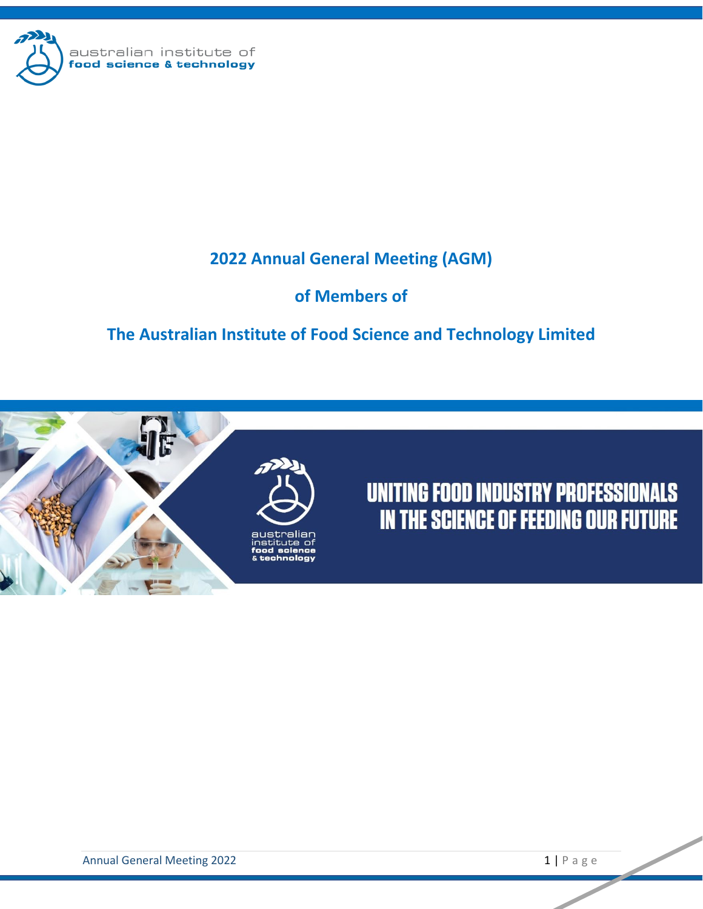

# **2022 Annual General Meeting (AGM)**

## **of Members of**

# **The Australian Institute of Food Science and Technology Limited**



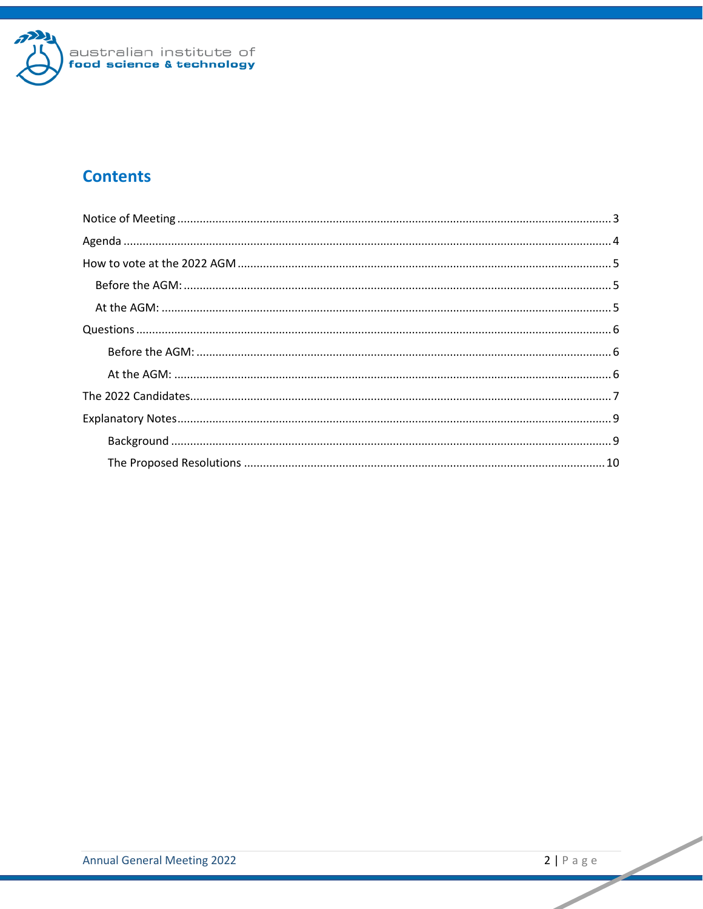

## **Contents**

 $\overline{\phantom{0}}$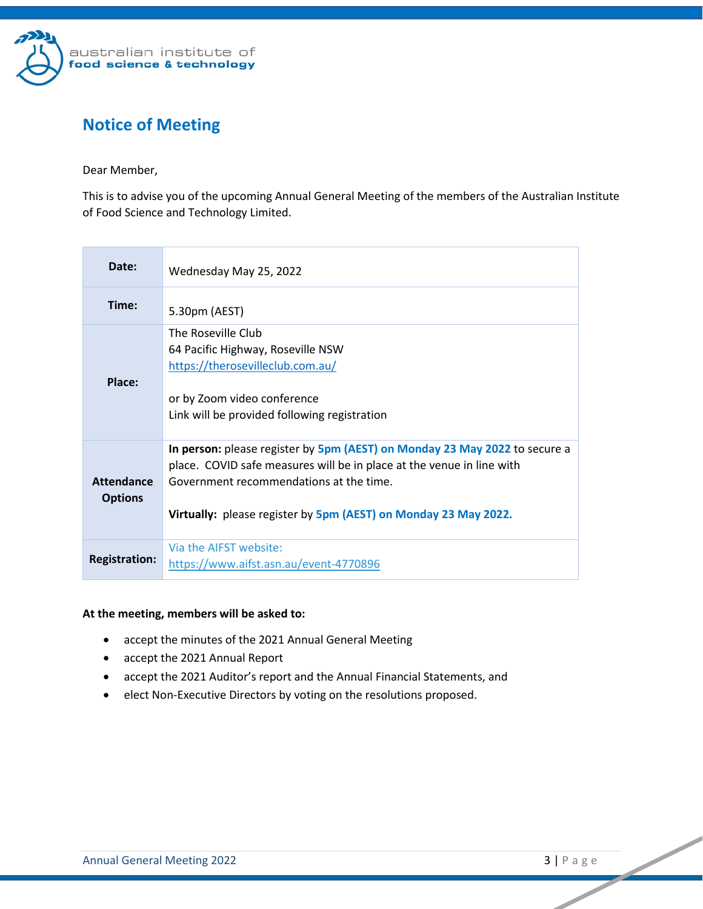

## <span id="page-2-0"></span>**Notice of Meeting**

Dear Member,

This is to advise you of the upcoming Annual General Meeting of the members of the Australian Institute of Food Science and Technology Limited.

| Date:                               | Wednesday May 25, 2022                                                                                                                                                                                                                                            |  |
|-------------------------------------|-------------------------------------------------------------------------------------------------------------------------------------------------------------------------------------------------------------------------------------------------------------------|--|
| Time:                               | 5.30pm (AEST)                                                                                                                                                                                                                                                     |  |
| Place:                              | The Roseville Club<br>64 Pacific Highway, Roseville NSW<br>https://therosevilleclub.com.au/<br>or by Zoom video conference<br>Link will be provided following registration                                                                                        |  |
| <b>Attendance</b><br><b>Options</b> | In person: please register by 5pm (AEST) on Monday 23 May 2022 to secure a<br>place. COVID safe measures will be in place at the venue in line with<br>Government recommendations at the time.<br>Virtually: please register by 5pm (AEST) on Monday 23 May 2022. |  |
| <b>Registration:</b>                | Via the AIFST website:<br>https://www.aifst.asn.au/event-4770896                                                                                                                                                                                                  |  |

#### **At the meeting, members will be asked to:**

- accept the minutes of the 2021 Annual General Meeting
- accept the 2021 Annual Report
- accept the 2021 Auditor's report and the Annual Financial Statements, and
- elect Non-Executive Directors by voting on the resolutions proposed.

**Contract Contract Contract Contract Contract Contract Contract Contract Contract Contract Contract Contract Contract Contract Contract Contract Contract Contract Contract Contract Contract Contract Contract Contract Contr**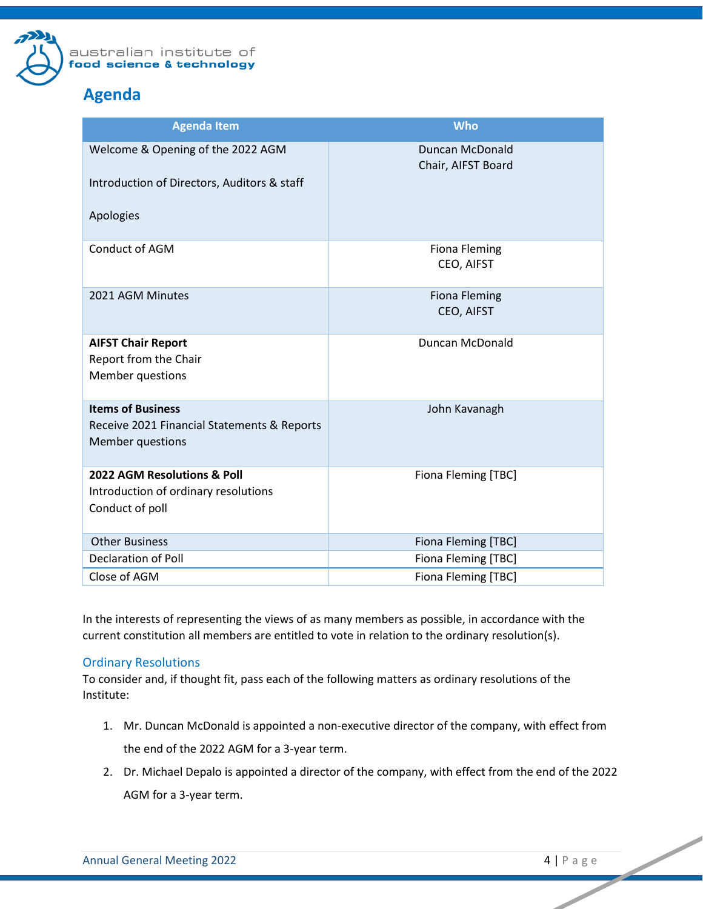

## <span id="page-3-0"></span>**Agenda**

| <b>Agenda Item</b>                                                                                 | <b>Who</b>                                   |
|----------------------------------------------------------------------------------------------------|----------------------------------------------|
| Welcome & Opening of the 2022 AGM<br>Introduction of Directors, Auditors & staff<br>Apologies      | <b>Duncan McDonald</b><br>Chair, AIFST Board |
| <b>Conduct of AGM</b>                                                                              | <b>Fiona Fleming</b><br>CEO, AIFST           |
| 2021 AGM Minutes                                                                                   | <b>Fiona Fleming</b><br>CEO, AIFST           |
| <b>AIFST Chair Report</b><br>Report from the Chair<br>Member questions                             | Duncan McDonald                              |
| <b>Items of Business</b><br>Receive 2021 Financial Statements & Reports<br><b>Member questions</b> | John Kavanagh                                |
| 2022 AGM Resolutions & Poll<br>Introduction of ordinary resolutions<br>Conduct of poll             | Fiona Fleming [TBC]                          |
| <b>Other Business</b>                                                                              | Fiona Fleming [TBC]                          |
| <b>Declaration of Poll</b>                                                                         | Fiona Fleming [TBC]                          |
| Close of AGM                                                                                       | Fiona Fleming [TBC]                          |

In the interests of representing the views of as many members as possible, in accordance with the current constitution all members are entitled to vote in relation to the ordinary resolution(s).

### Ordinary Resolutions

To consider and, if thought fit, pass each of the following matters as ordinary resolutions of the Institute:

- 1. Mr. Duncan McDonald is appointed a non-executive director of the company, with effect from the end of the 2022 AGM for a 3-year term.
- 2. Dr. Michael Depalo is appointed a director of the company, with effect from the end of the 2022 AGM for a 3-year term.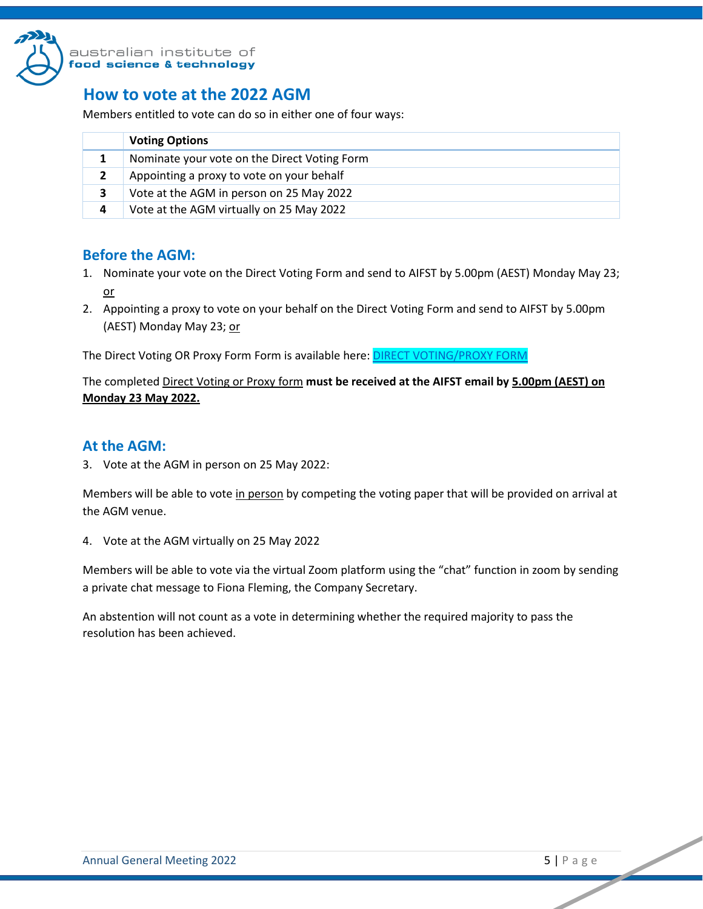

## <span id="page-4-0"></span>**How to vote at the 2022 AGM**

Members entitled to vote can do so in either one of four ways:

|   | <b>Voting Options</b>                        |
|---|----------------------------------------------|
| 1 | Nominate your vote on the Direct Voting Form |
| 2 | Appointing a proxy to vote on your behalf    |
| З | Vote at the AGM in person on 25 May 2022     |
| 4 | Vote at the AGM virtually on 25 May 2022     |

## <span id="page-4-1"></span>**Before the AGM:**

- 1. Nominate your vote on the Direct Voting Form and send to AIFST by 5.00pm (AEST) Monday May 23; or
- 2. Appointing a proxy to vote on your behalf on the Direct Voting Form and send to AIFST by 5.00pm (AEST) Monday May 23; or

The Direct Voting OR Proxy Form Form is available here: **DIRECT VOTING/PROXY FORM** 

The completed Direct Voting or Proxy form **must be received at the AIFST email by 5.00pm (AEST) on Monday 23 May 2022.**

## <span id="page-4-2"></span>**At the AGM:**

3. Vote at the AGM in person on 25 May 2022:

Members will be able to vote in person by competing the voting paper that will be provided on arrival at the AGM venue.

4. Vote at the AGM virtually on 25 May 2022

Members will be able to vote via the virtual Zoom platform using the "chat" function in zoom by sending a private chat message to Fiona Fleming, the Company Secretary.

An abstention will not count as a vote in determining whether the required majority to pass the resolution has been achieved.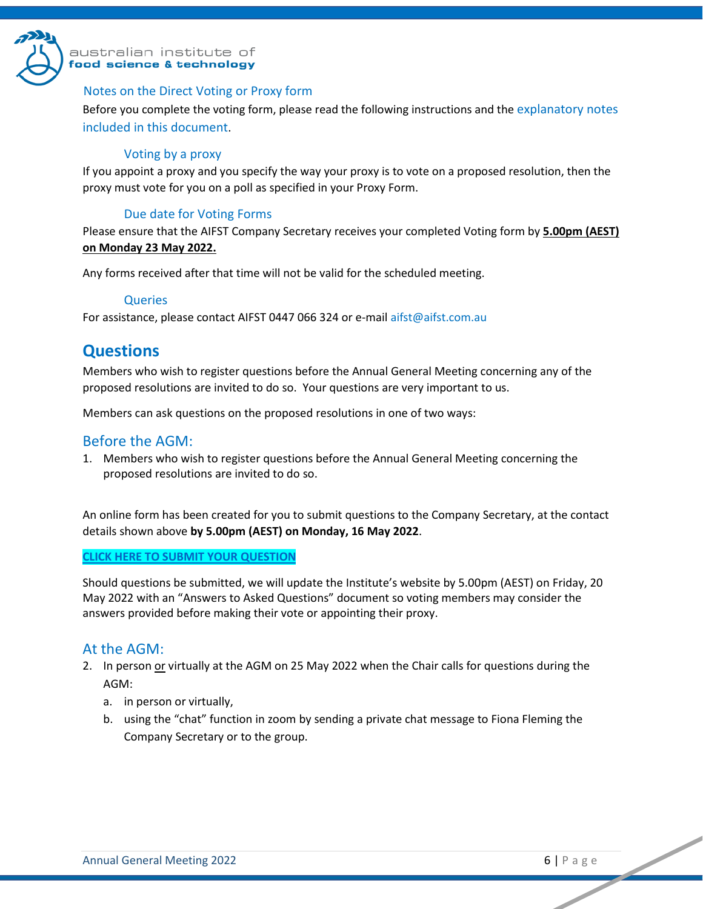

### australian institute of ood science & technology

### Notes on the Direct Voting or Proxy form

Before you complete the voting form, please read the following instructions and the explanatory notes included in this document.

### Voting by a proxy

If you appoint a proxy and you specify the way your proxy is to vote on a proposed resolution, then the proxy must vote for you on a poll as specified in your Proxy Form.

### Due date for Voting Forms

Please ensure that the AIFST Company Secretary receives your completed Voting form by **5.00pm (AEST) on Monday 23 May 2022.** 

Any forms received after that time will not be valid for the scheduled meeting.

### **Queries**

For assistance, please contact AIFST 0447 066 324 or e-mail aifst@aifst.com.au

## <span id="page-5-0"></span>**Questions**

Members who wish to register questions before the Annual General Meeting concerning any of the proposed resolutions are invited to do so. Your questions are very important to us.

Members can ask questions on the proposed resolutions in one of two ways:

## <span id="page-5-1"></span>Before the AGM:

1. Members who wish to register questions before the Annual General Meeting concerning the proposed resolutions are invited to do so.

An online form has been created for you to submit questions to the Company Secretary, at the contact details shown above **by 5.00pm (AEST) on Monday, 16 May 2022**.

### **[CLICK HERE TO SUBMIT YOUR QUESTION](https://form.jotform.com/aifst/2022-agm-question-form)**

Should questions be submitted, we will update the Institute's website by 5.00pm (AEST) on Friday, 20 May 2022 with an "Answers to Asked Questions" document so voting members may consider the answers provided before making their vote or appointing their proxy.

## <span id="page-5-2"></span>At the AGM:

- 2. In person or virtually at the AGM on 25 May 2022 when the Chair calls for questions during the AGM:
	- a. in person or virtually,
	- b. using the "chat" function in zoom by sending a private chat message to Fiona Fleming the Company Secretary or to the group.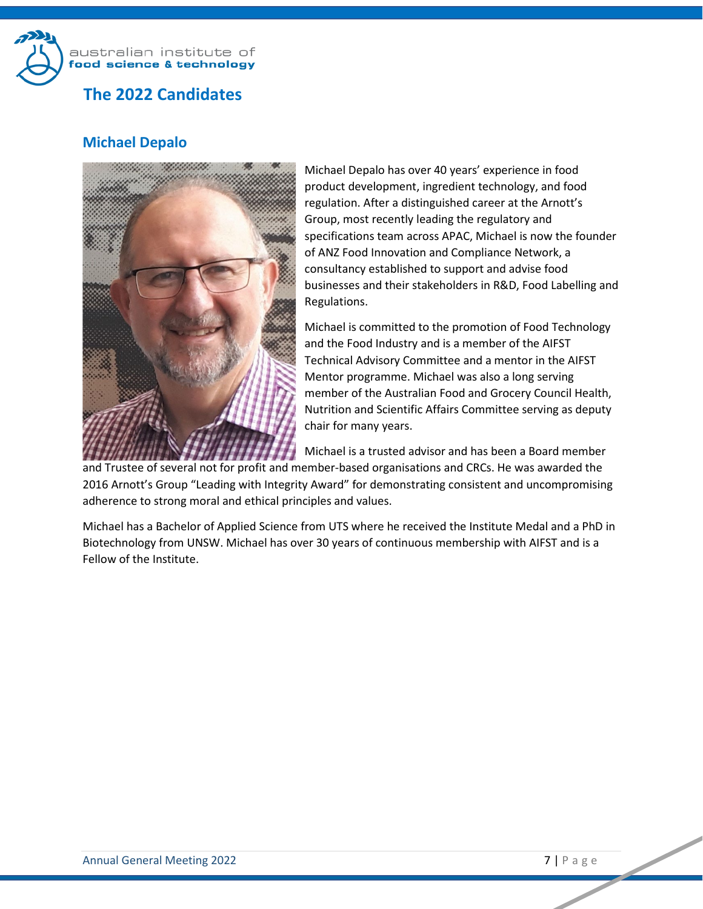

# <span id="page-6-0"></span>**Michael Depalo**



Michael Depalo has over 40 years' experience in food product development, ingredient technology, and food regulation. After a distinguished career at the Arnott's Group, most recently leading the regulatory and specifications team across APAC, Michael is now the founder of ANZ Food Innovation and Compliance Network, a consultancy established to support and advise food businesses and their stakeholders in R&D, Food Labelling and Regulations.

Michael is committed to the promotion of Food Technology and the Food Industry and is a member of the AIFST Technical Advisory Committee and a mentor in the AIFST Mentor programme. Michael was also a long serving member of the Australian Food and Grocery Council Health, Nutrition and Scientific Affairs Committee serving as deputy chair for many years.

Michael is a trusted advisor and has been a Board member

and Trustee of several not for profit and member-based organisations and CRCs. He was awarded the 2016 Arnott's Group "Leading with Integrity Award" for demonstrating consistent and uncompromising adherence to strong moral and ethical principles and values.

Michael has a Bachelor of Applied Science from UTS where he received the Institute Medal and a PhD in Biotechnology from UNSW. Michael has over 30 years of continuous membership with AIFST and is a Fellow of the Institute.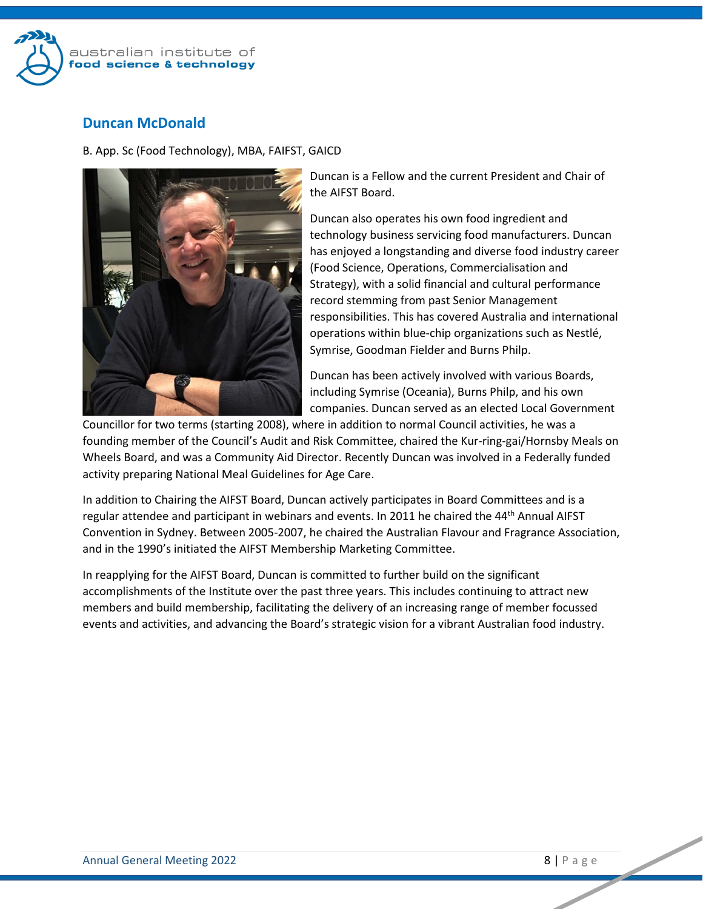

## **Duncan McDonald**

B. App. Sc (Food Technology), MBA, FAIFST, GAICD



Duncan is a Fellow and the current President and Chair of the AIFST Board.

Duncan also operates his own food ingredient and technology business servicing food manufacturers. Duncan has enjoyed a longstanding and diverse food industry career (Food Science, Operations, Commercialisation and Strategy), with a solid financial and cultural performance record stemming from past Senior Management responsibilities. This has covered Australia and international operations within blue-chip organizations such as Nestlé, Symrise, Goodman Fielder and Burns Philp.

Duncan has been actively involved with various Boards, including Symrise (Oceania), Burns Philp, and his own companies. Duncan served as an elected Local Government

Councillor for two terms (starting 2008), where in addition to normal Council activities, he was a founding member of the Council's Audit and Risk Committee, chaired the Kur-ring-gai/Hornsby Meals on Wheels Board, and was a Community Aid Director. Recently Duncan was involved in a Federally funded activity preparing National Meal Guidelines for Age Care.

In addition to Chairing the AIFST Board, Duncan actively participates in Board Committees and is a regular attendee and participant in webinars and events. In 2011 he chaired the 44<sup>th</sup> Annual AIFST Convention in Sydney. Between 2005-2007, he chaired the Australian Flavour and Fragrance Association, and in the 1990's initiated the AIFST Membership Marketing Committee.

In reapplying for the AIFST Board, Duncan is committed to further build on the significant accomplishments of the Institute over the past three years. This includes continuing to attract new members and build membership, facilitating the delivery of an increasing range of member focussed events and activities, and advancing the Board's strategic vision for a vibrant Australian food industry.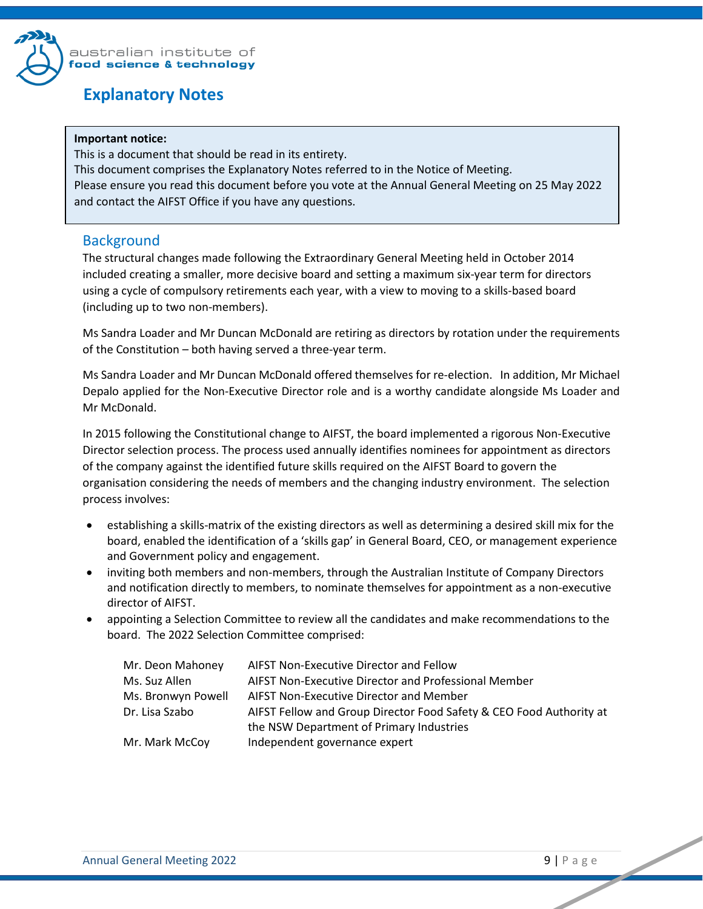

## <span id="page-8-0"></span>**Explanatory Notes**

#### **Important notice:**

This is a document that should be read in its entirety. This document comprises the Explanatory Notes referred to in the Notice of Meeting. Please ensure you read this document before you vote at the Annual General Meeting on 25 May 2022 and contact the AIFST Office if you have any questions.

## <span id="page-8-1"></span>**Background**

The structural changes made following the Extraordinary General Meeting held in October 2014 included creating a smaller, more decisive board and setting a maximum six-year term for directors using a cycle of compulsory retirements each year, with a view to moving to a skills-based board (including up to two non-members).

Ms Sandra Loader and Mr Duncan McDonald are retiring as directors by rotation under the requirements of the Constitution – both having served a three-year term.

Ms Sandra Loader and Mr Duncan McDonald offered themselves for re-election. In addition, Mr Michael Depalo applied for the Non-Executive Director role and is a worthy candidate alongside Ms Loader and Mr McDonald.

In 2015 following the Constitutional change to AIFST, the board implemented a rigorous Non-Executive Director selection process. The process used annually identifies nominees for appointment as directors of the company against the identified future skills required on the AIFST Board to govern the organisation considering the needs of members and the changing industry environment. The selection process involves:

- establishing a skills-matrix of the existing directors as well as determining a desired skill mix for the board, enabled the identification of a 'skills gap' in General Board, CEO, or management experience and Government policy and engagement.
- inviting both members and non-members, through the Australian Institute of Company Directors and notification directly to members, to nominate themselves for appointment as a non-executive director of AIFST.
- appointing a Selection Committee to review all the candidates and make recommendations to the board. The 2022 Selection Committee comprised:

| Mr. Deon Mahoney   | AIFST Non-Executive Director and Fellow                             |
|--------------------|---------------------------------------------------------------------|
| Ms. Suz Allen      | AIFST Non-Executive Director and Professional Member                |
| Ms. Bronwyn Powell | AIFST Non-Executive Director and Member                             |
| Dr. Lisa Szabo     | AIFST Fellow and Group Director Food Safety & CEO Food Authority at |
|                    | the NSW Department of Primary Industries                            |
| Mr. Mark McCoy     | Independent governance expert                                       |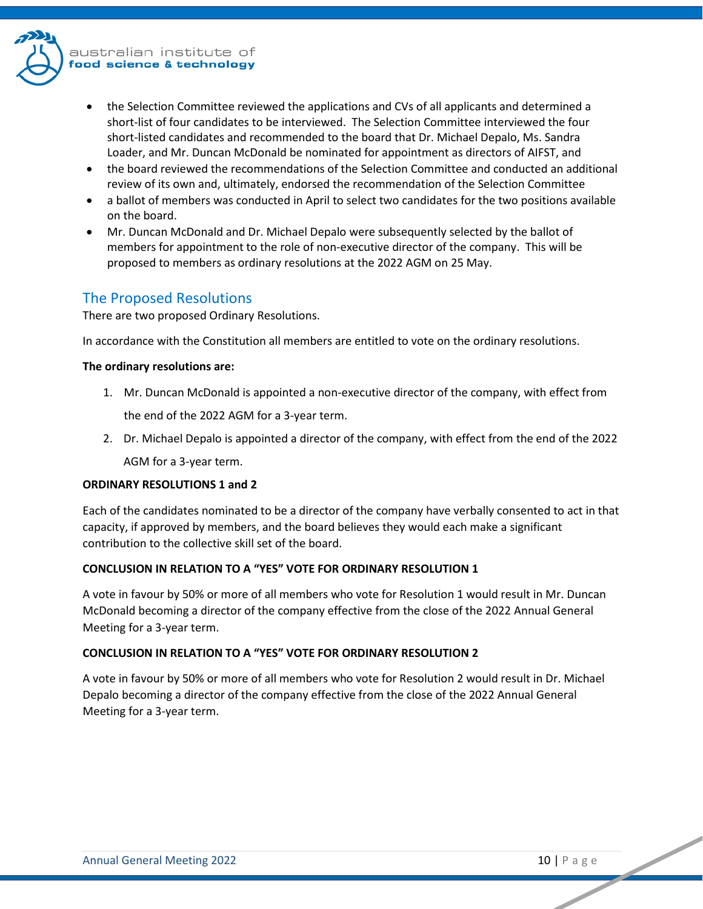

- the Selection Committee reviewed the applications and CVs of all applicants and determined a short-list of four candidates to be interviewed. The Selection Committee interviewed the four short-listed candidates and recommended to the board that Dr. Michael Depalo, Ms. Sandra Loader, and Mr. Duncan McDonald be nominated for appointment as directors of AIFST, and
- the board reviewed the recommendations of the Selection Committee and conducted an additional review of its own and, ultimately, endorsed the recommendation of the Selection Committee
- a ballot of members was conducted in April to select two candidates for the two positions available on the board.
- Mr. Duncan McDonald and Dr. Michael Depalo were subsequently selected by the ballot of members for appointment to the role of non-executive director of the company. This will be proposed to members as ordinary resolutions at the 2022 AGM on 25 May.

## <span id="page-9-0"></span>The Proposed Resolutions

There are two proposed Ordinary Resolutions.

In accordance with the Constitution all members are entitled to vote on the ordinary resolutions.

#### **The ordinary resolutions are:**

1. Mr. Duncan McDonald is appointed a non-executive director of the company, with effect from

the end of the 2022 AGM for a 3-year term.

2. Dr. Michael Depalo is appointed a director of the company, with effect from the end of the 2022

AGM for a 3-year term.

#### **ORDINARY RESOLUTIONS 1 and 2**

Each of the candidates nominated to be a director of the company have verbally consented to act in that capacity, if approved by members, and the board believes they would each make a significant contribution to the collective skill set of the board.

### **CONCLUSION IN RELATION TO A "YES" VOTE FOR ORDINARY RESOLUTION 1**

A vote in favour by 50% or more of all members who vote for Resolution 1 would result in Mr. Duncan McDonald becoming a director of the company effective from the close of the 2022 Annual General Meeting for a 3-year term.

### **CONCLUSION IN RELATION TO A "YES" VOTE FOR ORDINARY RESOLUTION 2**

A vote in favour by 50% or more of all members who vote for Resolution 2 would result in Dr. Michael Depalo becoming a director of the company effective from the close of the 2022 Annual General Meeting for a 3-year term.